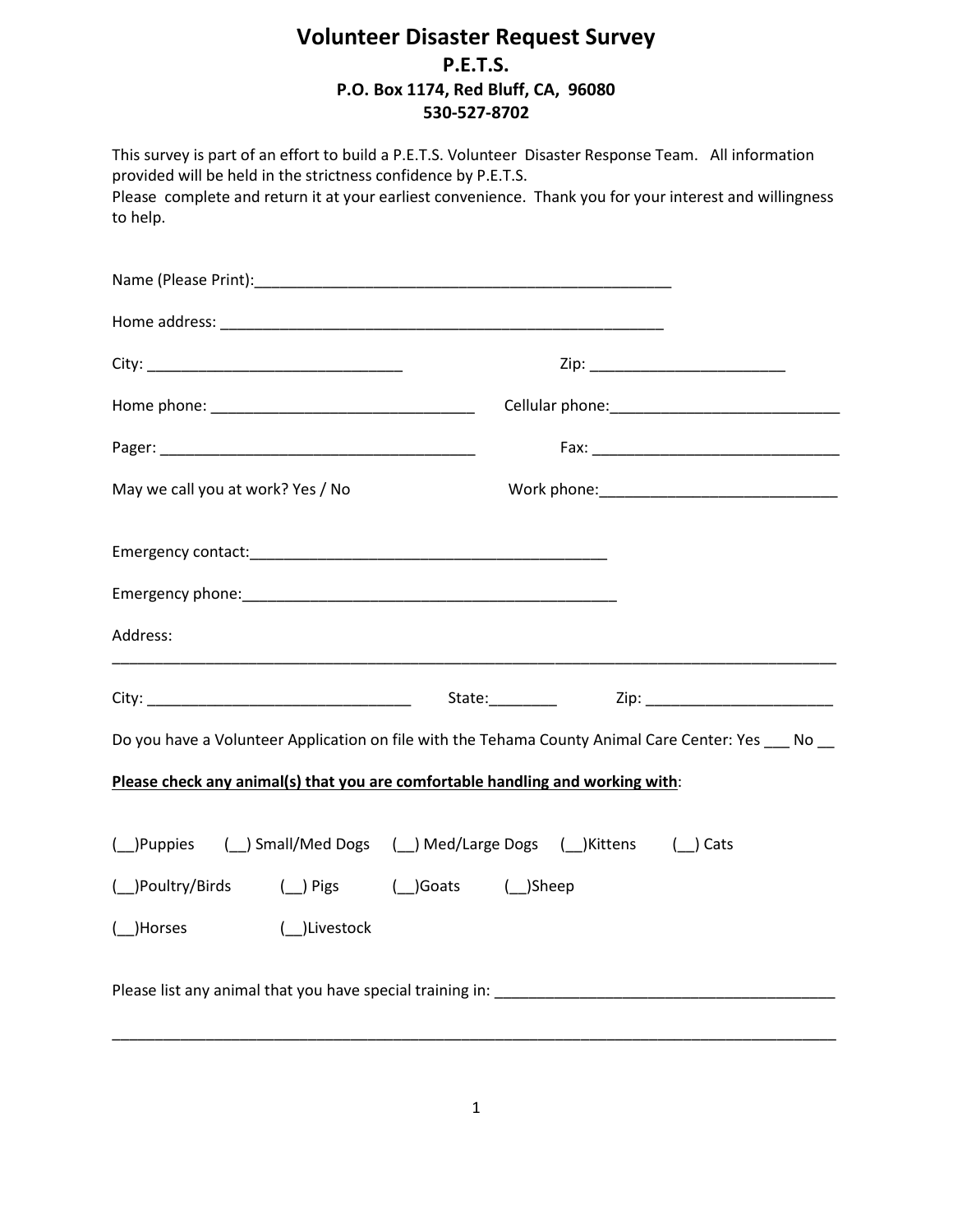## **Volunteer Disaster Request Survey P.E.T.S. P.O. Box 1174, Red Bluff, CA, 96080 530-527-8702**

| This survey is part of an effort to build a P.E.T.S. Volunteer Disaster Response Team. All information<br>provided will be held in the strictness confidence by P.E.T.S.<br>Please complete and return it at your earliest convenience. Thank you for your interest and willingness<br>to help. |                                                      |                                     |
|-------------------------------------------------------------------------------------------------------------------------------------------------------------------------------------------------------------------------------------------------------------------------------------------------|------------------------------------------------------|-------------------------------------|
|                                                                                                                                                                                                                                                                                                 |                                                      |                                     |
|                                                                                                                                                                                                                                                                                                 |                                                      |                                     |
|                                                                                                                                                                                                                                                                                                 |                                                      |                                     |
|                                                                                                                                                                                                                                                                                                 |                                                      |                                     |
|                                                                                                                                                                                                                                                                                                 |                                                      |                                     |
| May we call you at work? Yes / No                                                                                                                                                                                                                                                               |                                                      |                                     |
| Emergency contact: example and a series of the series of the series of the series of the series of the series of the series of the series of the series of the series of the series of the series of the series of the series                                                                   |                                                      |                                     |
| Address:                                                                                                                                                                                                                                                                                        |                                                      |                                     |
|                                                                                                                                                                                                                                                                                                 | State:___________                                    | Zip: ______________________________ |
| Do you have a Volunteer Application on file with the Tehama County Animal Care Center: Yes ___ No __                                                                                                                                                                                            |                                                      |                                     |
| Please check any animal(s) that you are comfortable handling and working with:                                                                                                                                                                                                                  |                                                      |                                     |
| )Puppies                                                                                                                                                                                                                                                                                        | ( _) Small/Med Dogs ( _) Med/Large Dogs ( _) Kittens | Cats                                |
| (_)Poultry/Birds<br>$\Box$ ) Pigs                                                                                                                                                                                                                                                               | ( )Goats<br>$(\_)$ Sheep                             |                                     |
| (_)Livestock<br>( )Horses                                                                                                                                                                                                                                                                       |                                                      |                                     |
|                                                                                                                                                                                                                                                                                                 |                                                      |                                     |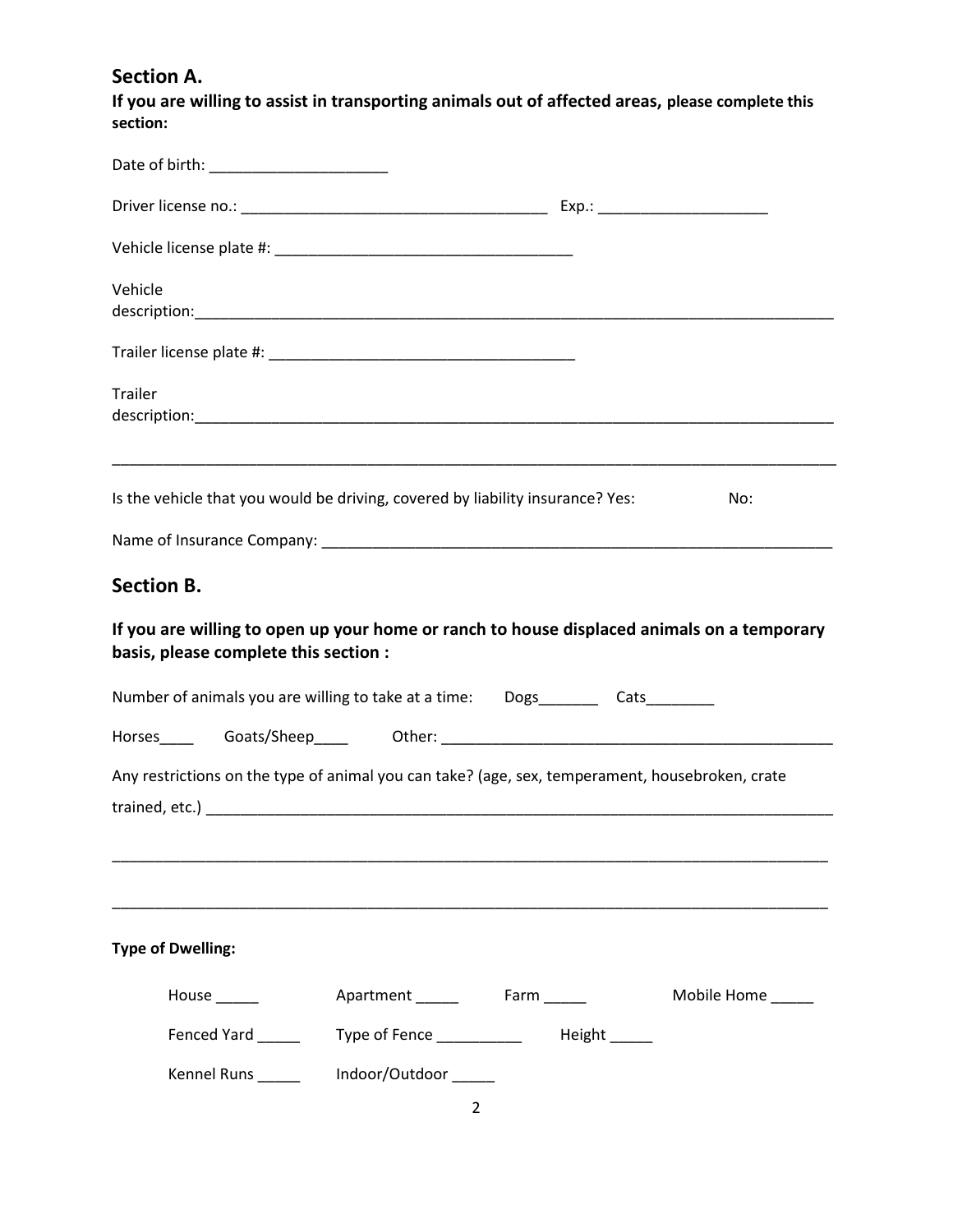**Section A.**

**If you are willing to assist in transporting animals out of affected areas, please complete this section:**

| Vehicle                                                                                                                             |                      |                                           |             |
|-------------------------------------------------------------------------------------------------------------------------------------|----------------------|-------------------------------------------|-------------|
|                                                                                                                                     |                      |                                           |             |
| <b>Trailer</b>                                                                                                                      |                      |                                           |             |
| Is the vehicle that you would be driving, covered by liability insurance? Yes:                                                      |                      |                                           | No:         |
|                                                                                                                                     |                      |                                           |             |
| <b>Section B.</b>                                                                                                                   |                      |                                           |             |
| If you are willing to open up your home or ranch to house displaced animals on a temporary<br>basis, please complete this section : |                      |                                           |             |
| Number of animals you are willing to take at a time:  Dogs_________ Cats________                                                    |                      |                                           |             |
|                                                                                                                                     |                      |                                           |             |
| Any restrictions on the type of animal you can take? (age, sex, temperament, housebroken, crate                                     |                      |                                           |             |
|                                                                                                                                     |                      |                                           |             |
|                                                                                                                                     |                      |                                           |             |
| <b>Type of Dwelling:</b>                                                                                                            |                      |                                           |             |
| House $\frac{1}{2}$                                                                                                                 | Apartment Farm       |                                           | Mobile Home |
| Fenced Yard                                                                                                                         |                      | Type of Fence _____________  Height _____ |             |
| Kennel Runs _____                                                                                                                   | Indoor/Outdoor _____ |                                           |             |